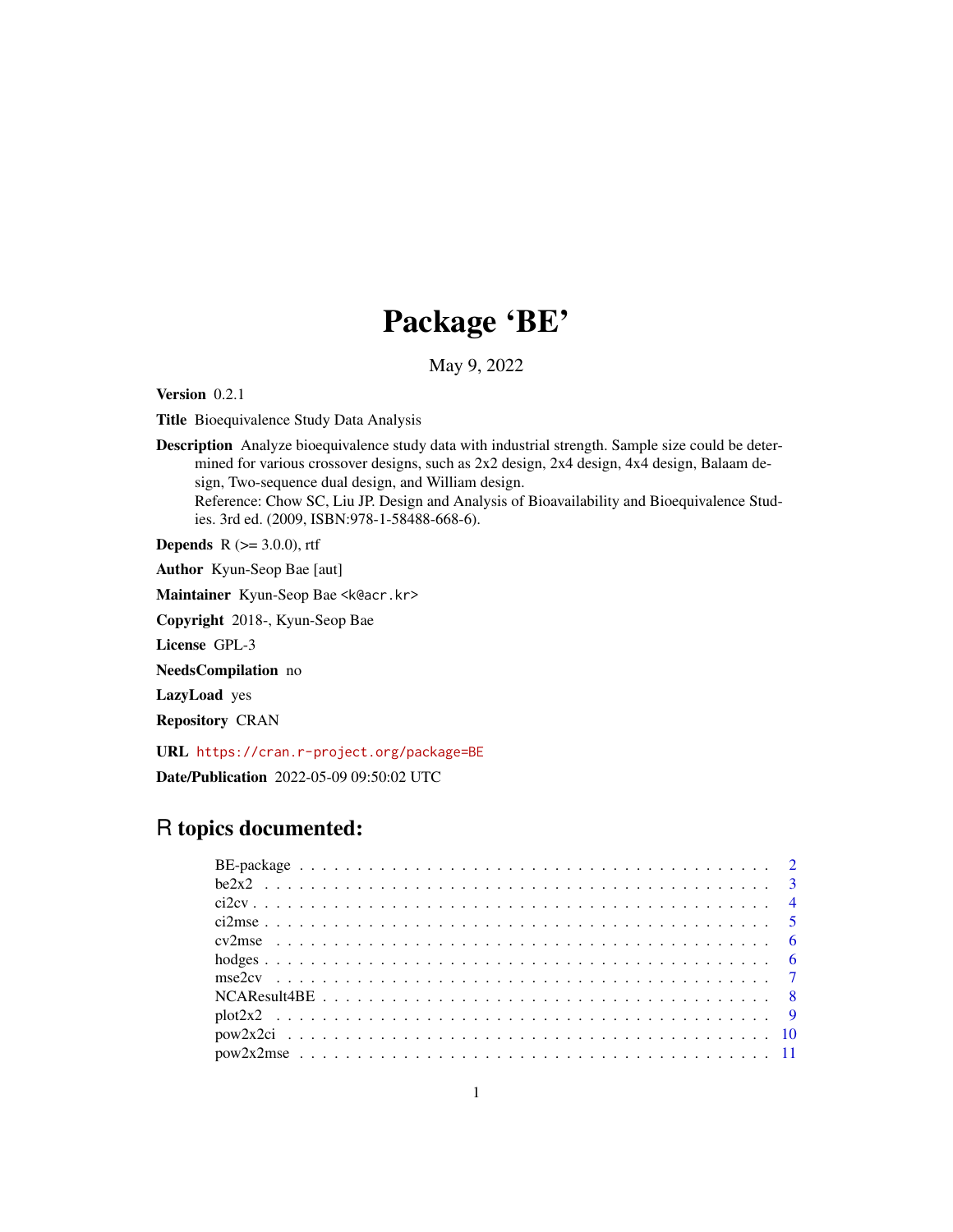# Package 'BE'

May 9, 2022

Version 0.2.1

Title Bioequivalence Study Data Analysis

Description Analyze bioequivalence study data with industrial strength. Sample size could be determined for various crossover designs, such as 2x2 design, 2x4 design, 4x4 design, Balaam design, Two-sequence dual design, and William design. Reference: Chow SC, Liu JP. Design and Analysis of Bioavailability and Bioequivalence Studies. 3rd ed. (2009, ISBN:978-1-58488-668-6).

**Depends** R  $(>= 3.0.0)$ , rtf

Author Kyun-Seop Bae [aut]

Maintainer Kyun-Seop Bae <k@acr.kr>

Copyright 2018-, Kyun-Seop Bae

License GPL-3

NeedsCompilation no

LazyLoad yes

Repository CRAN

URL <https://cran.r-project.org/package=BE>

Date/Publication 2022-05-09 09:50:02 UTC

# R topics documented: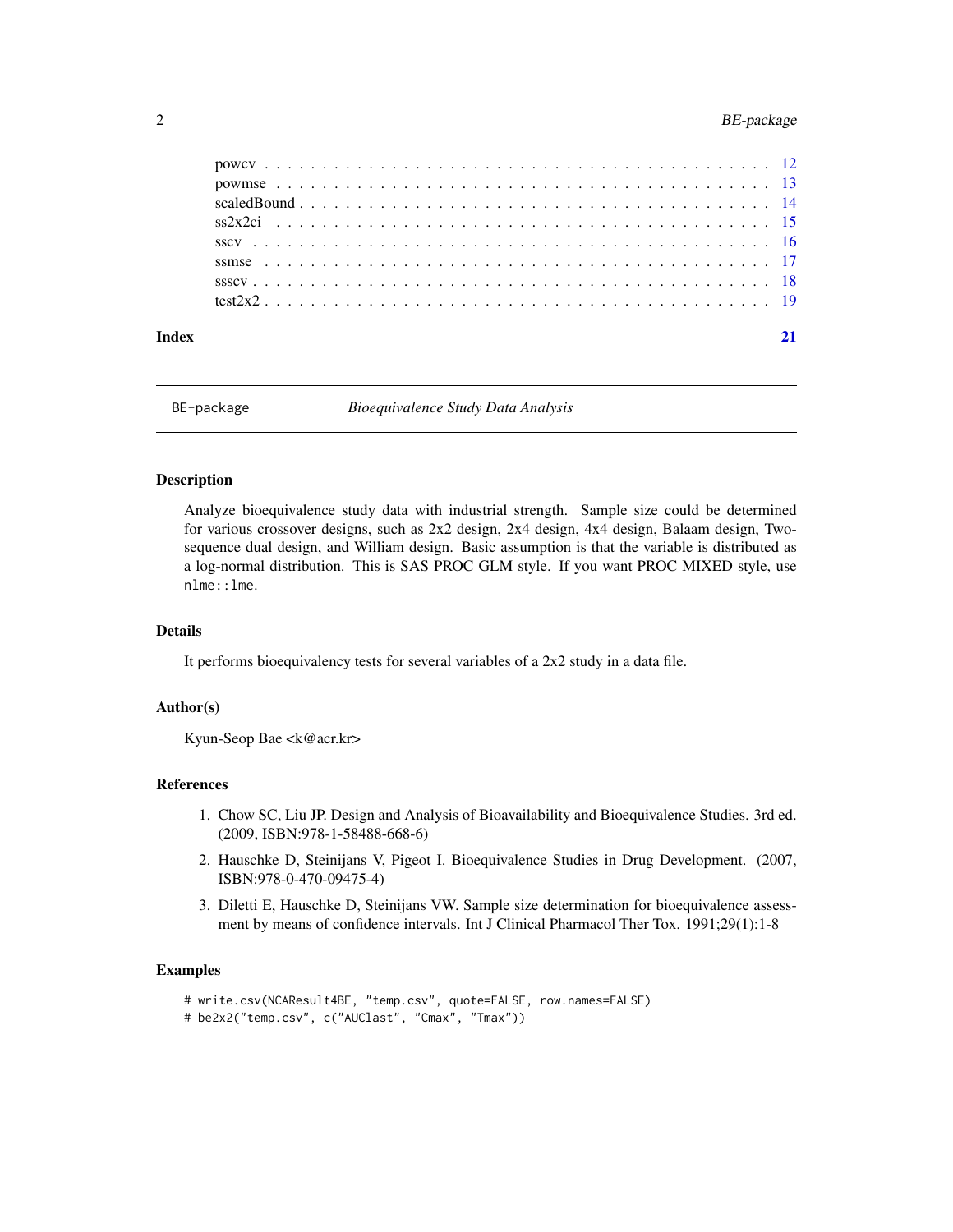# <span id="page-1-0"></span>2 BE-package

BE-package *Bioequivalence Study Data Analysis*

# **Description**

Analyze bioequivalence study data with industrial strength. Sample size could be determined for various crossover designs, such as 2x2 design, 2x4 design, 4x4 design, Balaam design, Twosequence dual design, and William design. Basic assumption is that the variable is distributed as a log-normal distribution. This is SAS PROC GLM style. If you want PROC MIXED style, use nlme::lme.

#### Details

It performs bioequivalency tests for several variables of a 2x2 study in a data file.

#### Author(s)

Kyun-Seop Bae <k@acr.kr>

#### References

- 1. Chow SC, Liu JP. Design and Analysis of Bioavailability and Bioequivalence Studies. 3rd ed. (2009, ISBN:978-1-58488-668-6)
- 2. Hauschke D, Steinijans V, Pigeot I. Bioequivalence Studies in Drug Development. (2007, ISBN:978-0-470-09475-4)
- 3. Diletti E, Hauschke D, Steinijans VW. Sample size determination for bioequivalence assessment by means of confidence intervals. Int J Clinical Pharmacol Ther Tox. 1991;29(1):1-8

#### Examples

```
# write.csv(NCAResult4BE, "temp.csv", quote=FALSE, row.names=FALSE)
```

```
# be2x2("temp.csv", c("AUClast", "Cmax", "Tmax"))
```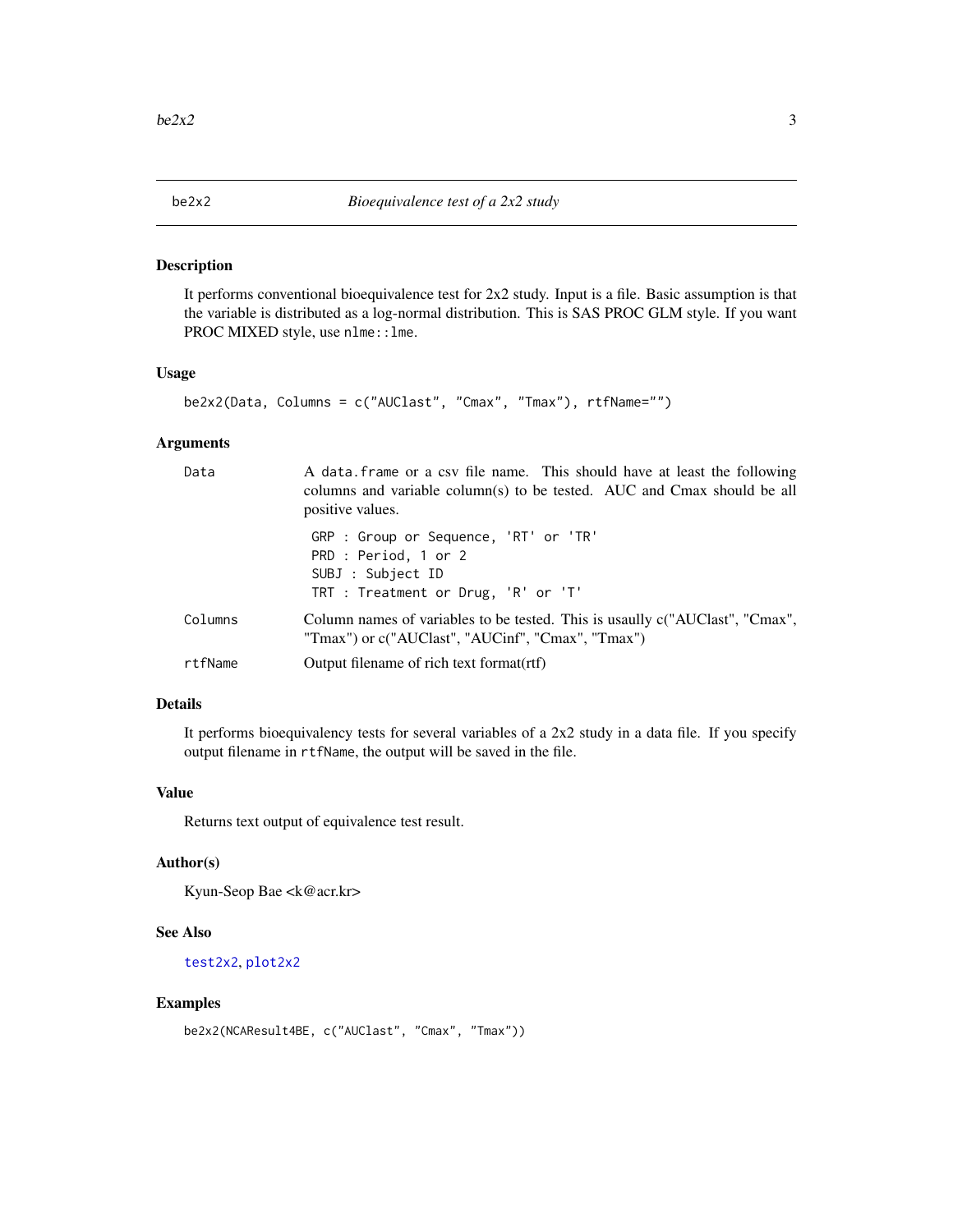<span id="page-2-0"></span>

It performs conventional bioequivalence test for 2x2 study. Input is a file. Basic assumption is that the variable is distributed as a log-normal distribution. This is SAS PROC GLM style. If you want PROC MIXED style, use nlme::lme.

#### Usage

```
be2x2(Data, Columns = c("AUClast", "Cmax", "Tmax"), rtfName="")
```
#### Arguments

| Data    | A data frame or a csv file name. This should have at least the following<br>columns and variable column(s) to be tested. AUC and Cmax should be all<br>positive values. |
|---------|-------------------------------------------------------------------------------------------------------------------------------------------------------------------------|
|         | GRP : Group or Sequence, 'RT' or 'TR'<br>PRD : Period, 1 or 2<br>SUBJ : Subject ID<br>TRT : Treatment or Drug, 'R' or 'T'                                               |
| Columns | Column names of variables to be tested. This is usaully c("AUClast", "Cmax",<br>"Tmax") or c("AUClast", "AUCinf", "Cmax", "Tmax")                                       |
| rtfName | Output filename of rich text format(rtf)                                                                                                                                |

# Details

It performs bioequivalency tests for several variables of a 2x2 study in a data file. If you specify output filename in rtfName, the output will be saved in the file.

#### Value

Returns text output of equivalence test result.

# Author(s)

Kyun-Seop Bae <k@acr.kr>

#### See Also

[test2x2](#page-18-1), [plot2x2](#page-8-1)

#### Examples

```
be2x2(NCAResult4BE, c("AUClast", "Cmax", "Tmax"))
```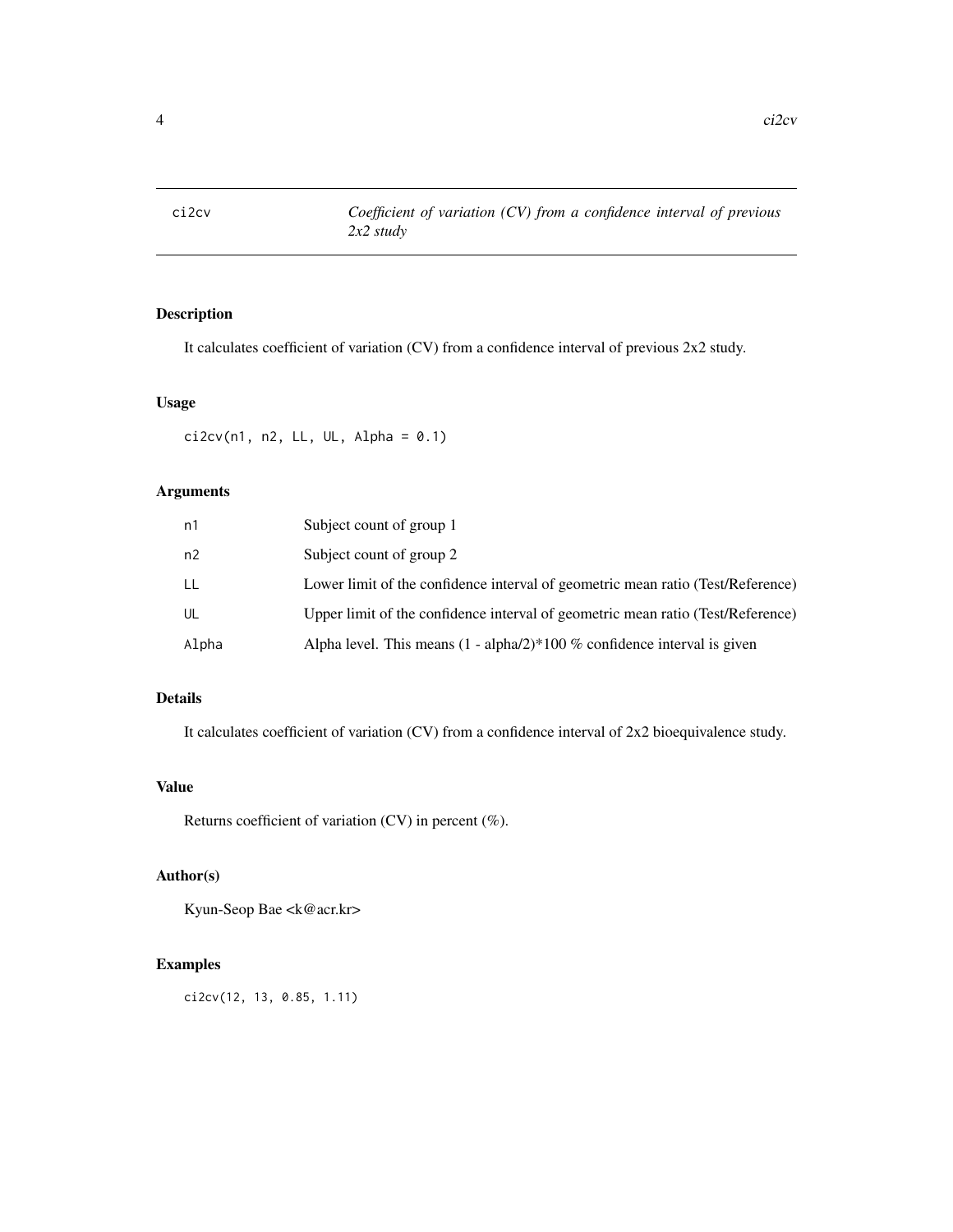<span id="page-3-0"></span>

It calculates coefficient of variation (CV) from a confidence interval of previous 2x2 study.

#### Usage

 $ci2cv(n1, n2, LL, UL, Alpha = 0.1)$ 

# Arguments

| n1    | Subject count of group 1                                                        |
|-------|---------------------------------------------------------------------------------|
| n2    | Subject count of group 2                                                        |
| LL    | Lower limit of the confidence interval of geometric mean ratio (Test/Reference) |
| UL    | Upper limit of the confidence interval of geometric mean ratio (Test/Reference) |
| Alpha | Alpha level. This means $(1 - \alpha)/2$ + 100 % confidence interval is given   |

# Details

It calculates coefficient of variation (CV) from a confidence interval of 2x2 bioequivalence study.

# Value

Returns coefficient of variation (CV) in percent (%).

# Author(s)

Kyun-Seop Bae <k@acr.kr>

# Examples

ci2cv(12, 13, 0.85, 1.11)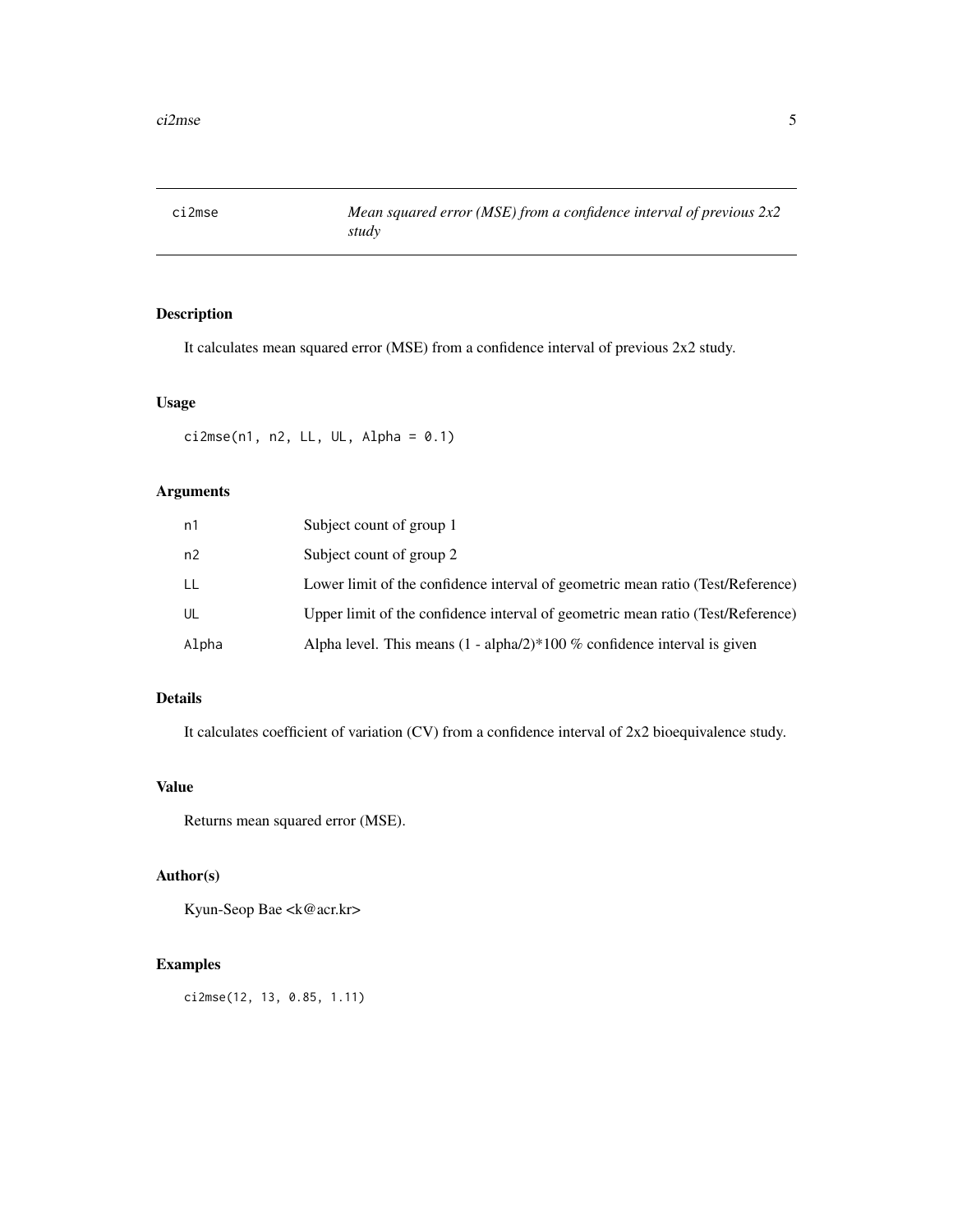<span id="page-4-0"></span>

It calculates mean squared error (MSE) from a confidence interval of previous 2x2 study.

#### Usage

 $ci2mse(n1, n2, LL, UL, Alpha = 0.1)$ 

# Arguments

| n1    | Subject count of group 1                                                        |
|-------|---------------------------------------------------------------------------------|
| n2    | Subject count of group 2                                                        |
| LL    | Lower limit of the confidence interval of geometric mean ratio (Test/Reference) |
| UL    | Upper limit of the confidence interval of geometric mean ratio (Test/Reference) |
| Alpha | Alpha level. This means $(1 - \alpha)/2$ + 100 % confidence interval is given   |

# Details

It calculates coefficient of variation (CV) from a confidence interval of 2x2 bioequivalence study.

# Value

Returns mean squared error (MSE).

# Author(s)

Kyun-Seop Bae <k@acr.kr>

#### Examples

ci2mse(12, 13, 0.85, 1.11)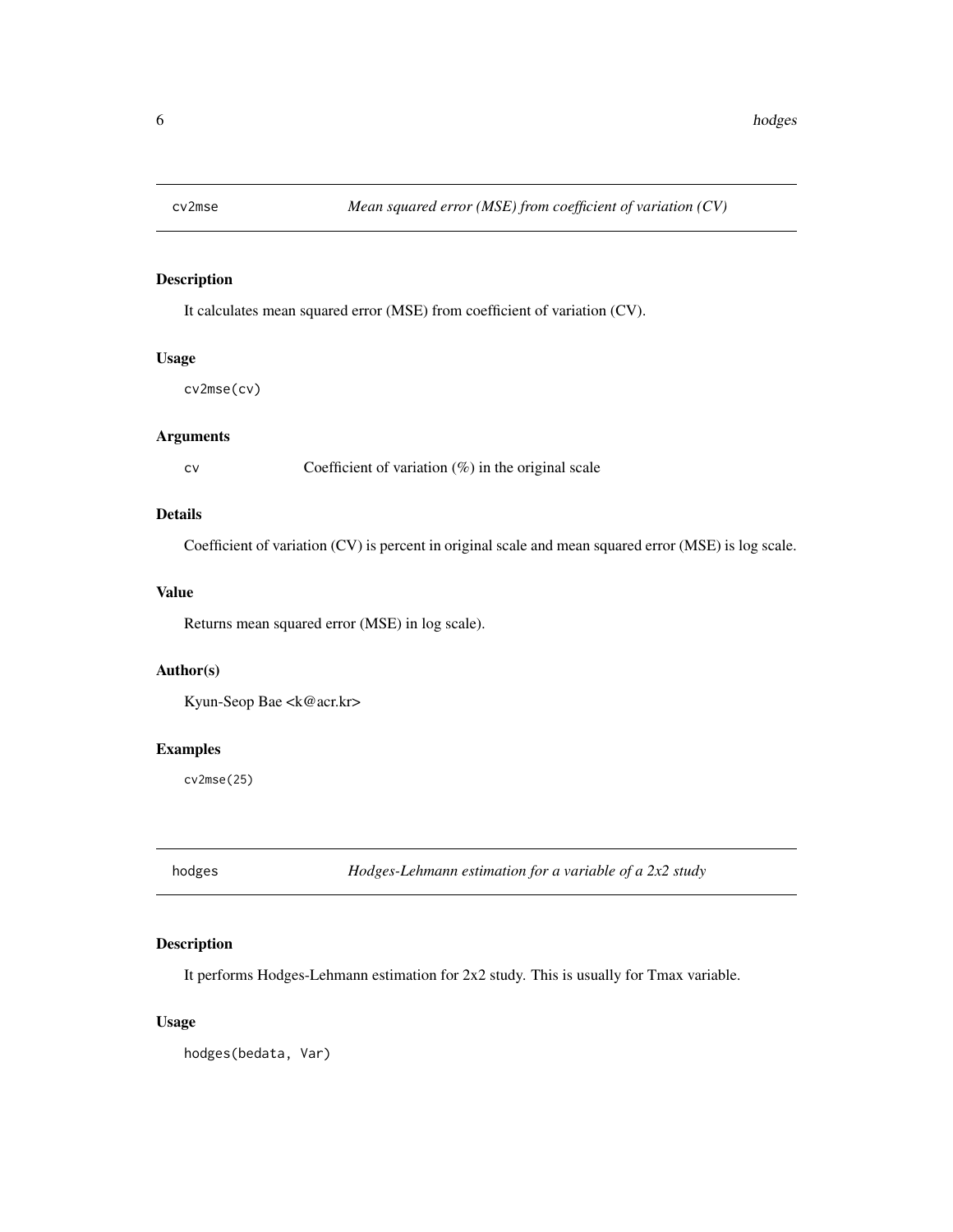<span id="page-5-0"></span>

It calculates mean squared error (MSE) from coefficient of variation (CV).

# Usage

cv2mse(cv)

# Arguments

cv Coefficient of variation (%) in the original scale

#### Details

Coefficient of variation (CV) is percent in original scale and mean squared error (MSE) is log scale.

#### Value

Returns mean squared error (MSE) in log scale).

# Author(s)

Kyun-Seop Bae <k@acr.kr>

# Examples

cv2mse(25)

hodges *Hodges-Lehmann estimation for a variable of a 2x2 study*

#### Description

It performs Hodges-Lehmann estimation for 2x2 study. This is usually for Tmax variable.

#### Usage

hodges(bedata, Var)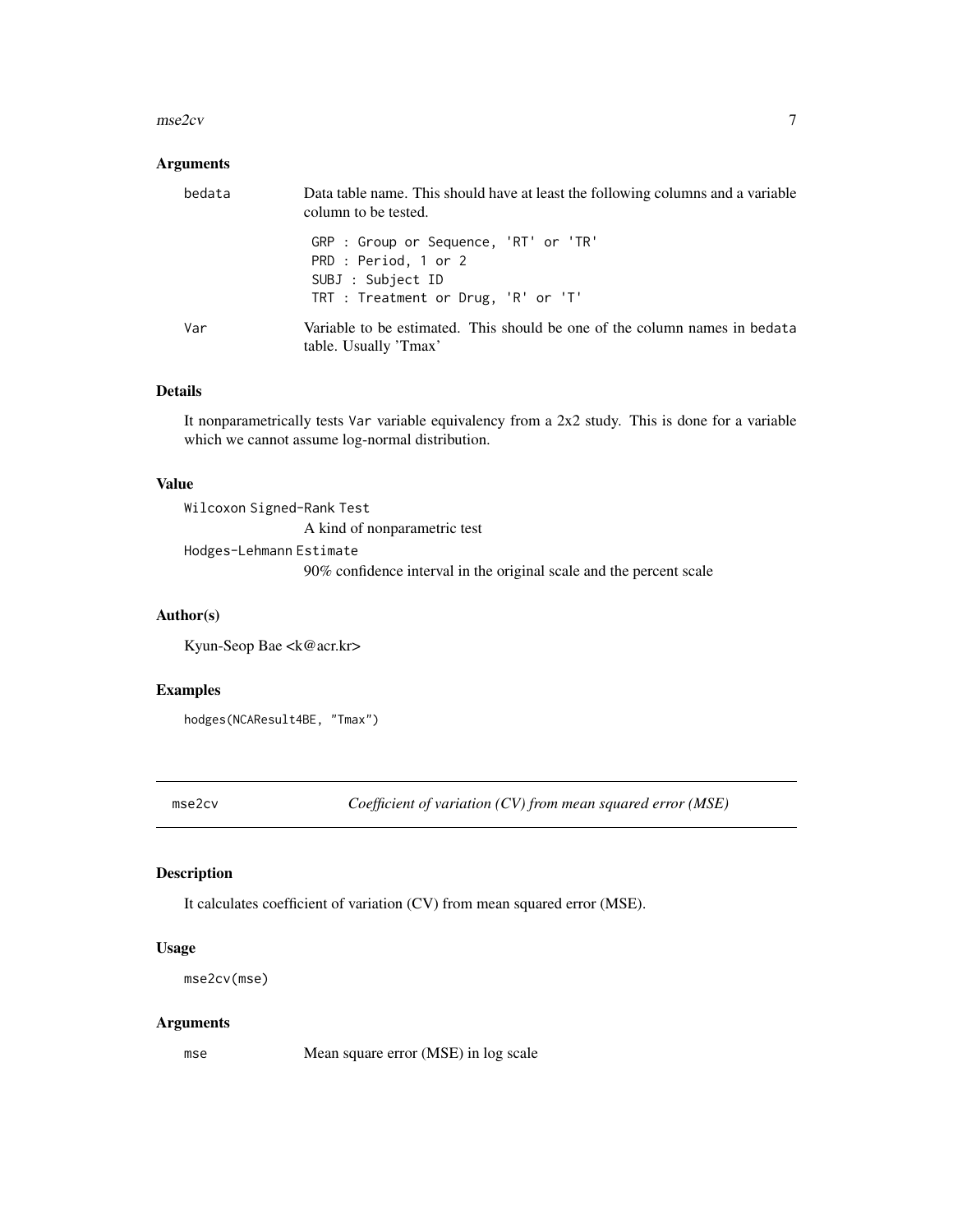#### <span id="page-6-0"></span> $\text{mse2cv}$  7

#### Arguments

| bedata | Data table name. This should have at least the following columns and a variable<br>column to be tested. |
|--------|---------------------------------------------------------------------------------------------------------|
|        | GRP : Group or Sequence, 'RT' or 'TR'<br>PRD : Period, 1 or 2<br>SUBJ : Subject ID                      |
|        | TRT : Treatment or Drug, 'R' or 'T'                                                                     |
| Var    | Variable to be estimated. This should be one of the column names in bedata<br>table. Usually 'Tmax'     |

# Details

It nonparametrically tests Var variable equivalency from a 2x2 study. This is done for a variable which we cannot assume log-normal distribution.

#### Value

| Wilcoxon Signed-Rank Test                          |
|----------------------------------------------------|
| A kind of nonparametric test                       |
| Hodges-Lehmann Estimate                            |
| $\sim$ 1 $\sim$ 1 $\sim$ 1<br>$\sim$ $\sim$ $\sim$ |

90% confidence interval in the original scale and the percent scale

#### Author(s)

Kyun-Seop Bae <k@acr.kr>

# Examples

hodges(NCAResult4BE, "Tmax")

mse2cv *Coefficient of variation (CV) from mean squared error (MSE)*

#### Description

It calculates coefficient of variation (CV) from mean squared error (MSE).

# Usage

```
mse2cv(mse)
```
#### Arguments

mse Mean square error (MSE) in log scale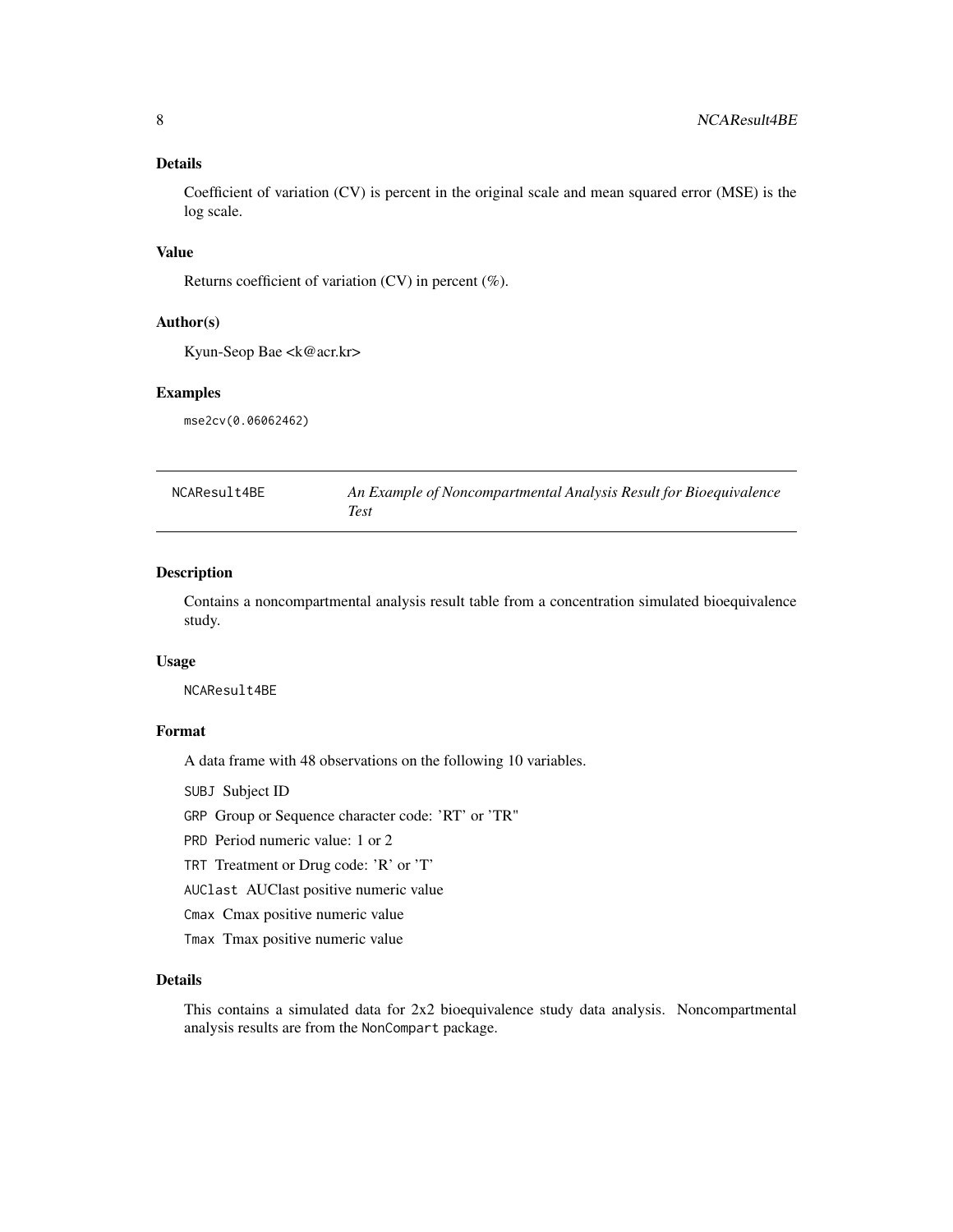#### <span id="page-7-0"></span>Details

Coefficient of variation (CV) is percent in the original scale and mean squared error (MSE) is the log scale.

#### Value

Returns coefficient of variation (CV) in percent (%).

#### Author(s)

Kyun-Seop Bae <k@acr.kr>

# Examples

mse2cv(0.06062462)

| NCAResult4BE | An Example of Noncompartmental Analysis Result for Bioequivalence |
|--------------|-------------------------------------------------------------------|
|              | Test                                                              |

# Description

Contains a noncompartmental analysis result table from a concentration simulated bioequivalence study.

#### Usage

NCAResult4BE

#### Format

A data frame with 48 observations on the following 10 variables.

SUBJ Subject ID

GRP Group or Sequence character code: 'RT' or 'TR"

PRD Period numeric value: 1 or 2

TRT Treatment or Drug code: 'R' or 'T'

AUClast AUClast positive numeric value

Cmax Cmax positive numeric value

Tmax Tmax positive numeric value

#### Details

This contains a simulated data for 2x2 bioequivalence study data analysis. Noncompartmental analysis results are from the NonCompart package.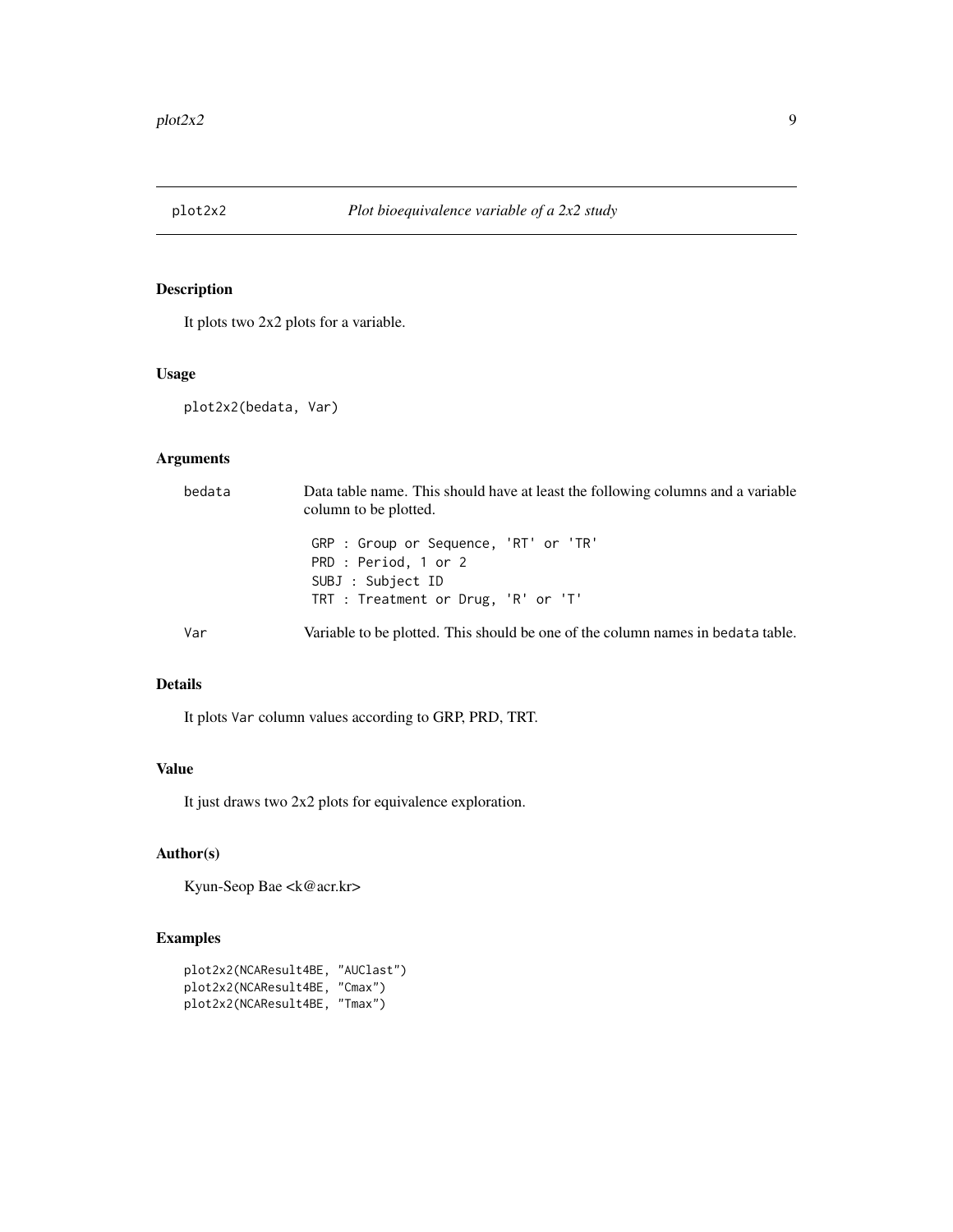<span id="page-8-1"></span><span id="page-8-0"></span>

It plots two 2x2 plots for a variable.

#### Usage

plot2x2(bedata, Var)

# Arguments

| bedata | Data table name. This should have at least the following columns and a variable<br>column to be plotted. |
|--------|----------------------------------------------------------------------------------------------------------|
|        | GRP : Group or Sequence, 'RT' or 'TR'<br>PRD : Period, 1 or 2<br>SUBJ : Subject ID                       |
|        | TRT : Treatment or Drug, 'R' or 'T'                                                                      |
| Var    | Variable to be plotted. This should be one of the column names in bedata table.                          |

# Details

It plots Var column values according to GRP, PRD, TRT.

# Value

It just draws two 2x2 plots for equivalence exploration.

#### Author(s)

Kyun-Seop Bae <k@acr.kr>

# Examples

```
plot2x2(NCAResult4BE, "AUClast")
plot2x2(NCAResult4BE, "Cmax")
plot2x2(NCAResult4BE, "Tmax")
```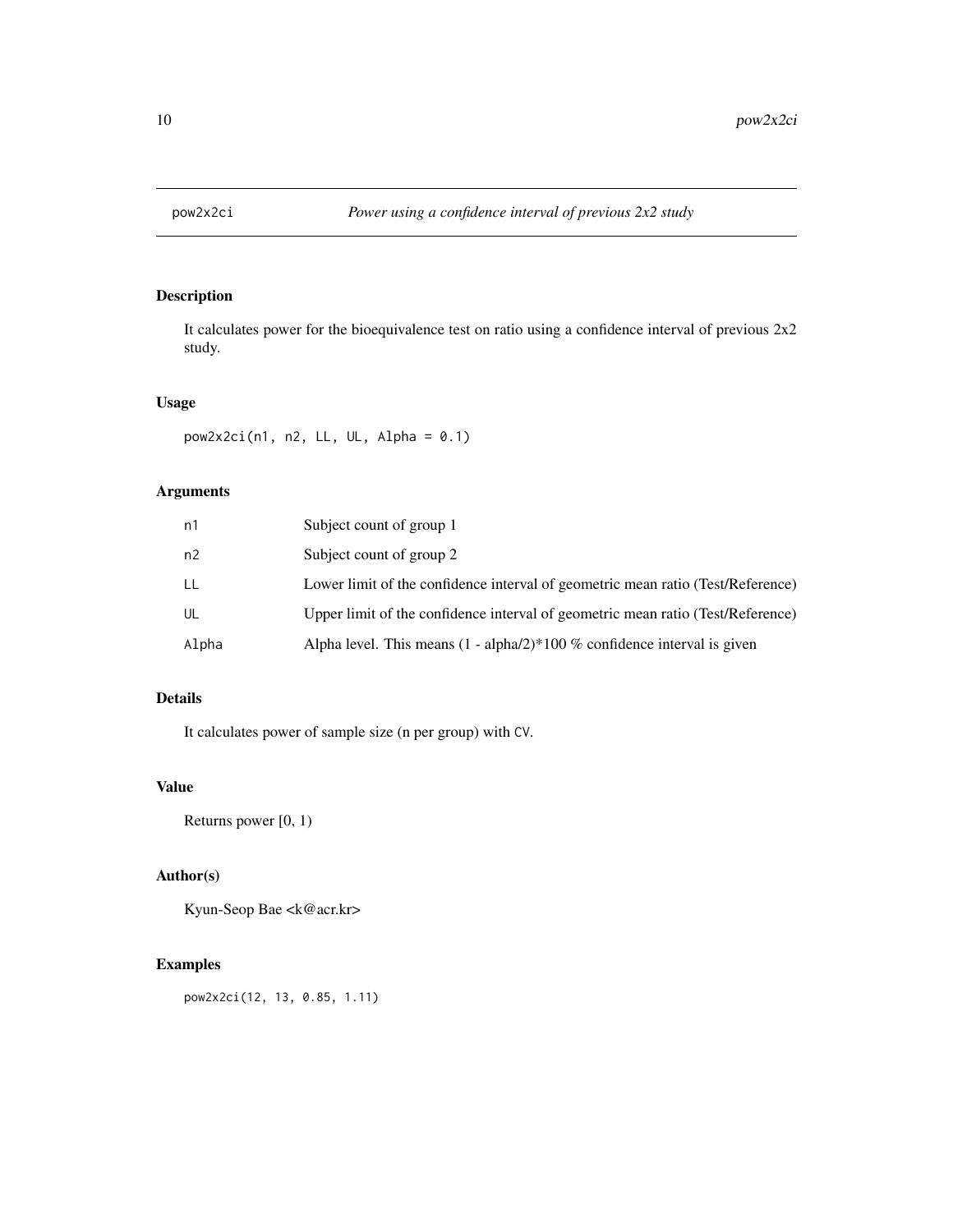<span id="page-9-0"></span>

It calculates power for the bioequivalence test on ratio using a confidence interval of previous 2x2 study.

#### Usage

```
pow2x2ci(n1, n2, LL, UL, Alpha = 0.1)
```
# Arguments

| n1    | Subject count of group 1                                                        |
|-------|---------------------------------------------------------------------------------|
| n2    | Subject count of group 2                                                        |
| LL    | Lower limit of the confidence interval of geometric mean ratio (Test/Reference) |
| UL    | Upper limit of the confidence interval of geometric mean ratio (Test/Reference) |
| Alpha | Alpha level. This means $(1 - \alpha/2)$ 100 % confidence interval is given     |

# Details

It calculates power of sample size (n per group) with CV.

# Value

Returns power [0, 1)

#### Author(s)

Kyun-Seop Bae <k@acr.kr>

# Examples

pow2x2ci(12, 13, 0.85, 1.11)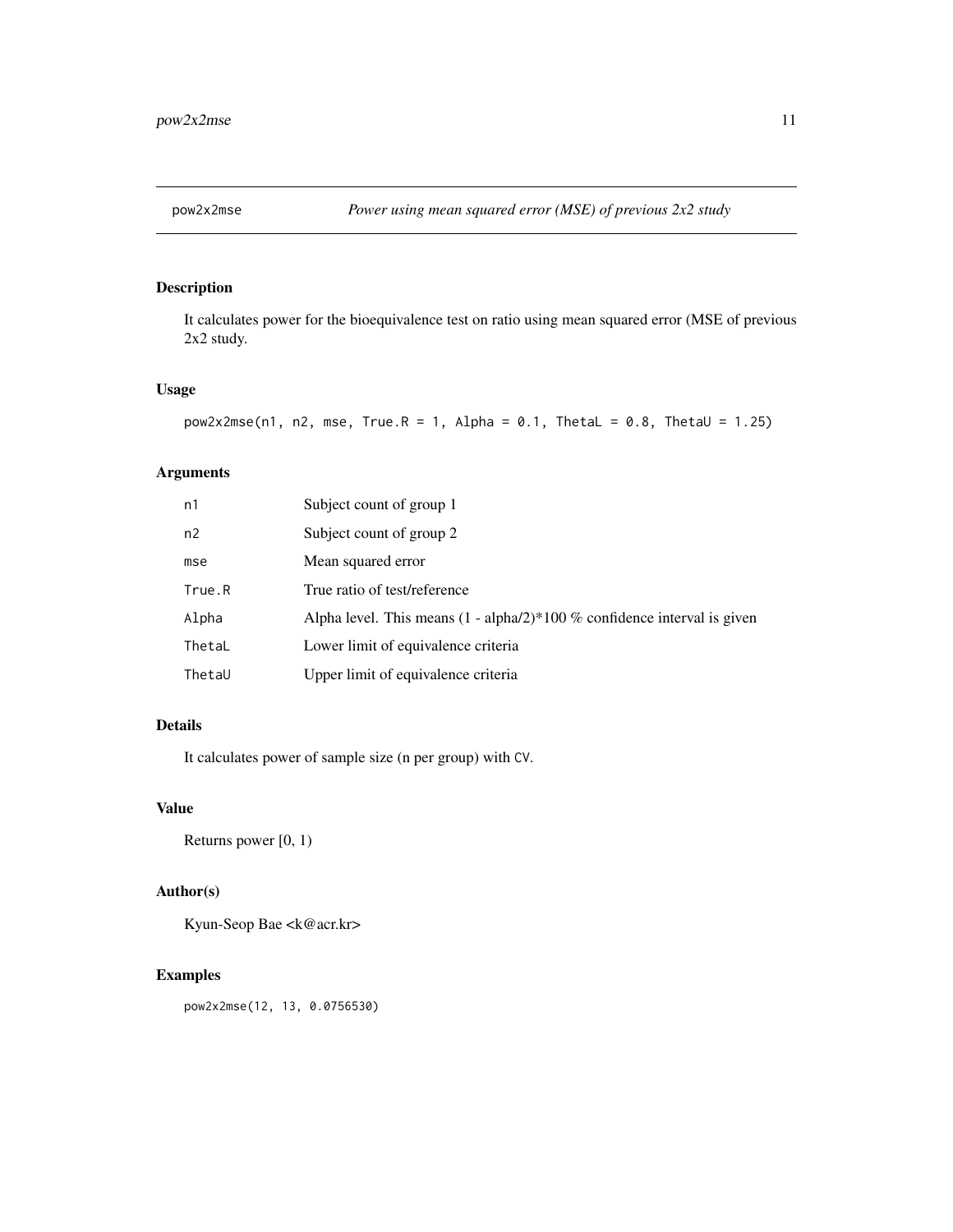<span id="page-10-0"></span>

It calculates power for the bioequivalence test on ratio using mean squared error (MSE of previous 2x2 study.

#### Usage

```
pow2x2mse(n1, n2, mse, True.R = 1, Alpha = 0.1, thetaL = 0.8, The L = 1.25)
```
#### Arguments

| n1     | Subject count of group 1                                                      |
|--------|-------------------------------------------------------------------------------|
| n2     | Subject count of group 2                                                      |
| mse    | Mean squared error                                                            |
| True.R | True ratio of test/reference                                                  |
| Alpha  | Alpha level. This means $(1 - \alpha)/2$ + 100 % confidence interval is given |
| ThetaL | Lower limit of equivalence criteria                                           |
| ThetaU | Upper limit of equivalence criteria                                           |

#### Details

It calculates power of sample size (n per group) with CV.

#### Value

Returns power [0, 1)

# Author(s)

Kyun-Seop Bae <k@acr.kr>

# Examples

pow2x2mse(12, 13, 0.0756530)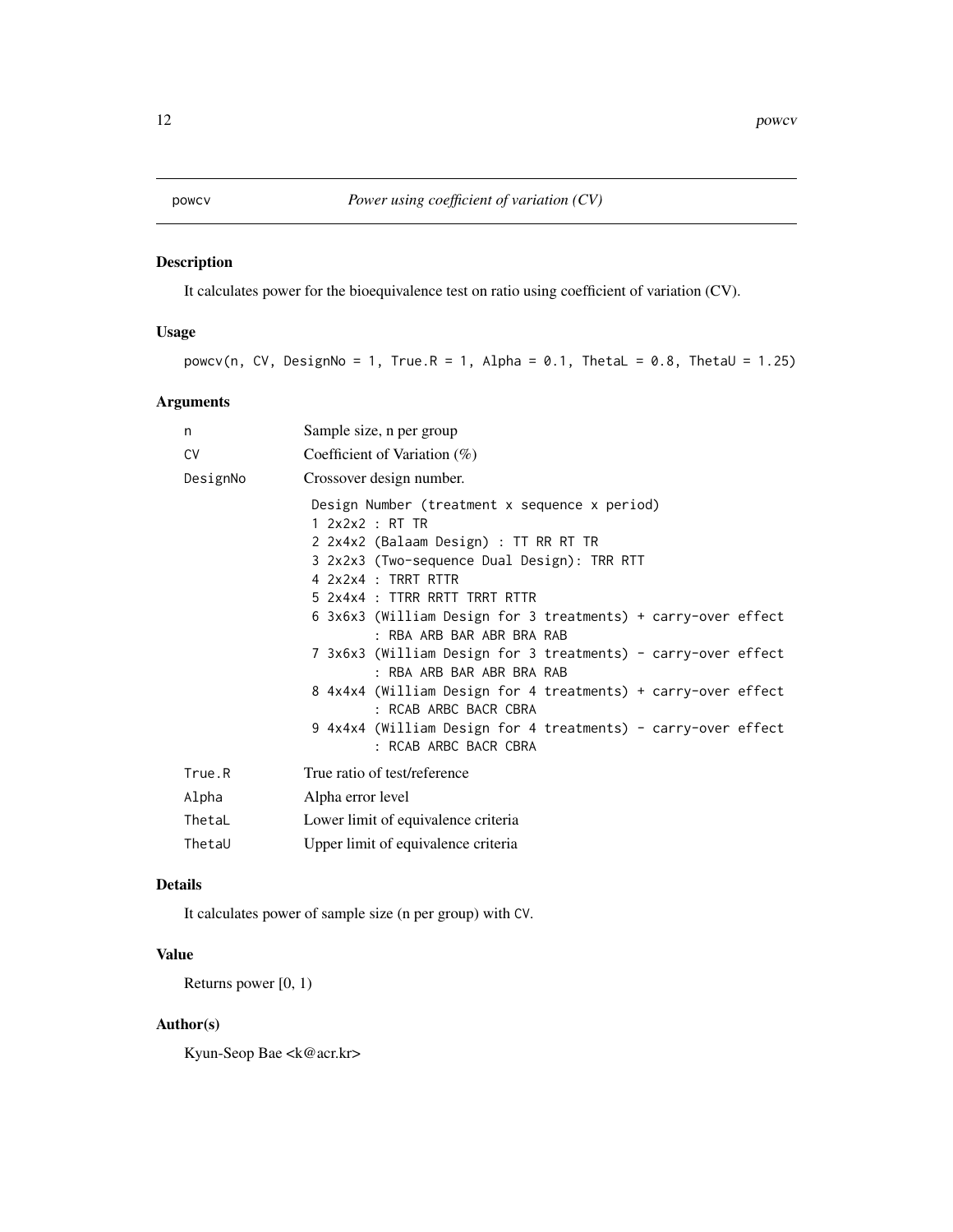<span id="page-11-0"></span>

It calculates power for the bioequivalence test on ratio using coefficient of variation (CV).

# Usage

powcv(n, CV, DesignNo = 1, True.R = 1, Alpha = 0.1, ThetaL = 0.8, ThetaU = 1.25)

# Arguments

| n         | Sample size, n per group                                                                                                                                                                                                                                                                                                                                                                                                                                                                                                                                                                         |
|-----------|--------------------------------------------------------------------------------------------------------------------------------------------------------------------------------------------------------------------------------------------------------------------------------------------------------------------------------------------------------------------------------------------------------------------------------------------------------------------------------------------------------------------------------------------------------------------------------------------------|
| <b>CV</b> | Coefficient of Variation $(\%)$                                                                                                                                                                                                                                                                                                                                                                                                                                                                                                                                                                  |
| DesignNo  | Crossover design number.                                                                                                                                                                                                                                                                                                                                                                                                                                                                                                                                                                         |
|           | Design Number (treatment x sequence x period)<br>1 2x2x2 : RT TR<br>2 2x4x2 (Balaam Design) : TT RR RT TR<br>3 2x2x3 (Two-sequence Dual Design): TRR RTT<br>4 2x2x4 : TRRT RTTR<br>5 2x4x4 : TTRR RRTT TRRT RTTR<br>6 3x6x3 (William Design for 3 treatments) + carry-over effect<br>: RBA ARB BAR ABR BRA RAB<br>7 3x6x3 (William Design for 3 treatments) - carry-over effect<br>: RBA ARB BAR ABR BRA RAB<br>8 4x4x4 (William Design for 4 treatments) + carry-over effect<br>: RCAB ARBC BACR CBRA<br>9 4x4x4 (William Design for 4 treatments) - carry-over effect<br>: RCAB ARBC BACR CBRA |
| True.R    | True ratio of test/reference                                                                                                                                                                                                                                                                                                                                                                                                                                                                                                                                                                     |
| Alpha     | Alpha error level                                                                                                                                                                                                                                                                                                                                                                                                                                                                                                                                                                                |
| ThetaL    | Lower limit of equivalence criteria                                                                                                                                                                                                                                                                                                                                                                                                                                                                                                                                                              |

#### Details

It calculates power of sample size (n per group) with CV.

ThetaU Upper limit of equivalence criteria

# Value

Returns power [0, 1)

# Author(s)

Kyun-Seop Bae <k@acr.kr>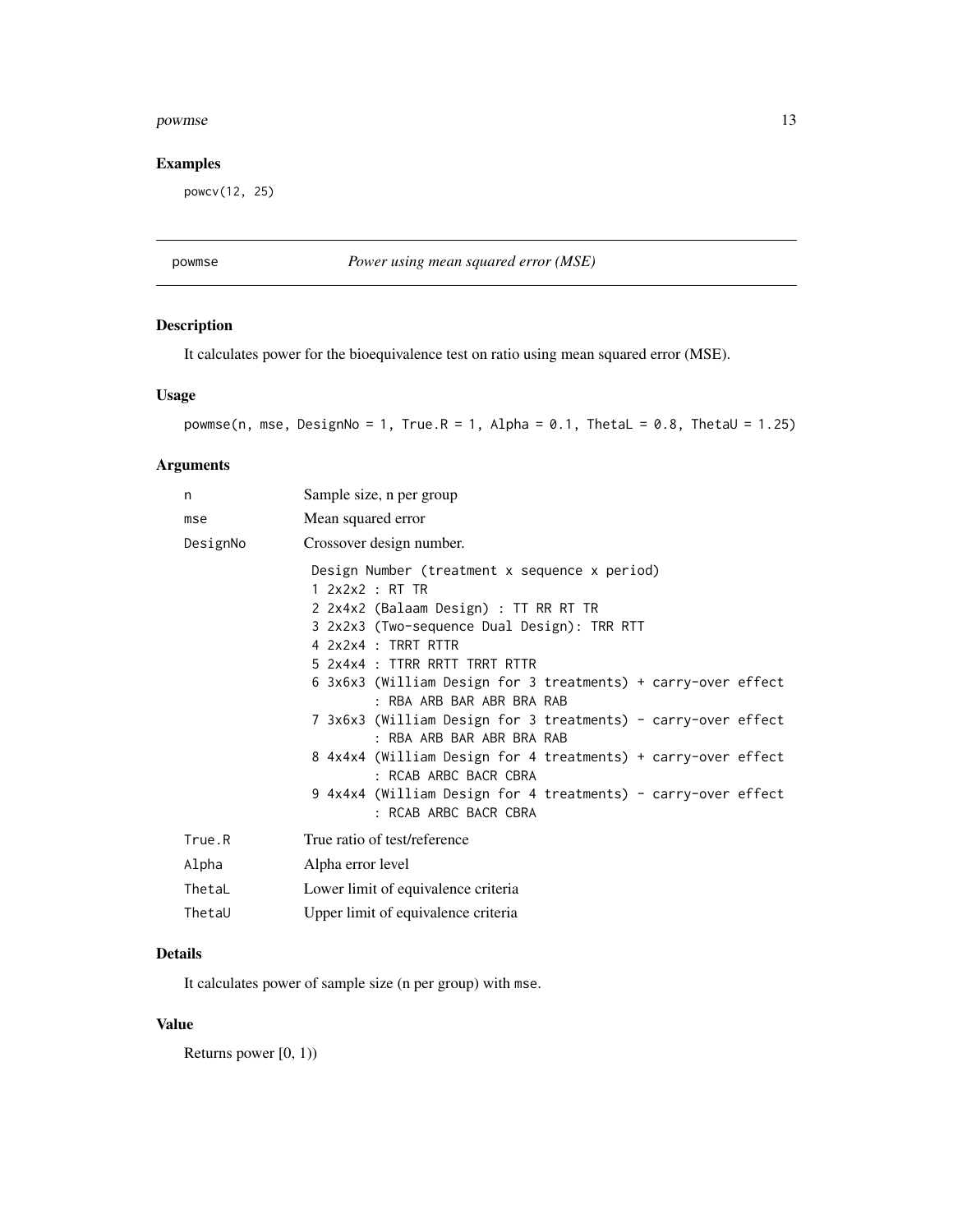#### <span id="page-12-0"></span>powmse the contract of the contract of the contract of the contract of the contract of the contract of the contract of the contract of the contract of the contract of the contract of the contract of the contract of the con

# Examples

powcv(12, 25)

powmse *Power using mean squared error (MSE)*

# Description

It calculates power for the bioequivalence test on ratio using mean squared error (MSE).

# Usage

```
powmse(n, mse, DesignNo = 1, True.R = 1, Alpha = 0.1, ThetaL = 0.8, ThetaU = 1.25)
```
# Arguments

| n        | Sample size, n per group                                                                                                                                                                                                                                                                                                                                                                                                                                                                                                                                                                         |
|----------|--------------------------------------------------------------------------------------------------------------------------------------------------------------------------------------------------------------------------------------------------------------------------------------------------------------------------------------------------------------------------------------------------------------------------------------------------------------------------------------------------------------------------------------------------------------------------------------------------|
| mse      | Mean squared error                                                                                                                                                                                                                                                                                                                                                                                                                                                                                                                                                                               |
| DesignNo | Crossover design number.                                                                                                                                                                                                                                                                                                                                                                                                                                                                                                                                                                         |
|          | Design Number (treatment x sequence x period)<br>1 2x2x2 : RT TR<br>2 2x4x2 (Balaam Design) : TT RR RT TR<br>3 2x2x3 (Two-sequence Dual Design): TRR RTT<br>4 2x2x4 : TRRT RTTR<br>5 2x4x4 : TTRR RRTT TRRT RTTR<br>6 3x6x3 (William Design for 3 treatments) + carry-over effect<br>: RBA ARB BAR ABR BRA RAB<br>7 3x6x3 (William Design for 3 treatments) - carry-over effect<br>: RBA ARB BAR ABR BRA RAB<br>8 4x4x4 (William Design for 4 treatments) + carry-over effect<br>: RCAB ARBC BACR CBRA<br>9 4x4x4 (William Design for 4 treatments) - carry-over effect<br>: RCAB ARBC BACR CBRA |
| True.R   | True ratio of test/reference                                                                                                                                                                                                                                                                                                                                                                                                                                                                                                                                                                     |
| Alpha    | Alpha error level                                                                                                                                                                                                                                                                                                                                                                                                                                                                                                                                                                                |
| ThetaL   | Lower limit of equivalence criteria                                                                                                                                                                                                                                                                                                                                                                                                                                                                                                                                                              |
| ThetaU   | Upper limit of equivalence criteria                                                                                                                                                                                                                                                                                                                                                                                                                                                                                                                                                              |

#### Details

It calculates power of sample size (n per group) with mse.

#### Value

Returns power [0, 1))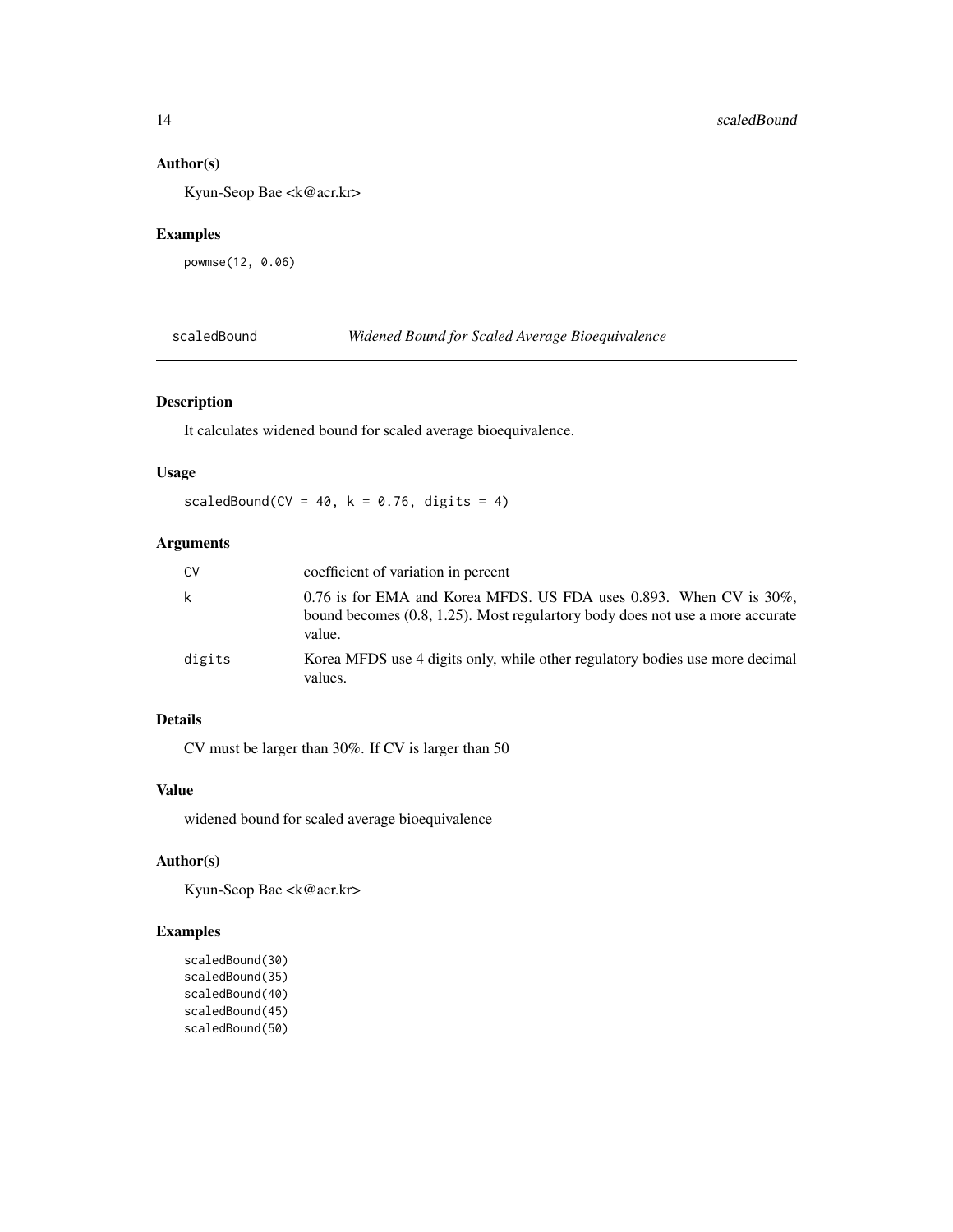#### <span id="page-13-0"></span>Author(s)

Kyun-Seop Bae <k@acr.kr>

# Examples

powmse(12, 0.06)

scaledBound *Widened Bound for Scaled Average Bioequivalence*

# **Description**

It calculates widened bound for scaled average bioequivalence.

#### Usage

scaledBound(CV =  $40$ , k =  $0.76$ , digits =  $4$ )

# Arguments

| CV     | coefficient of variation in percent                                                                                                                                     |
|--------|-------------------------------------------------------------------------------------------------------------------------------------------------------------------------|
| k      | $0.76$ is for EMA and Korea MFDS. US FDA uses 0.893. When CV is $30\%$ .<br>bound becomes $(0.8, 1.25)$ . Most regular tory body does not use a more accurate<br>value. |
| digits | Korea MFDS use 4 digits only, while other regulatory bodies use more decimal<br>values.                                                                                 |

# Details

CV must be larger than 30%. If CV is larger than 50

# Value

widened bound for scaled average bioequivalence

# Author(s)

Kyun-Seop Bae <k@acr.kr>

# Examples

scaledBound(30) scaledBound(35) scaledBound(40) scaledBound(45) scaledBound(50)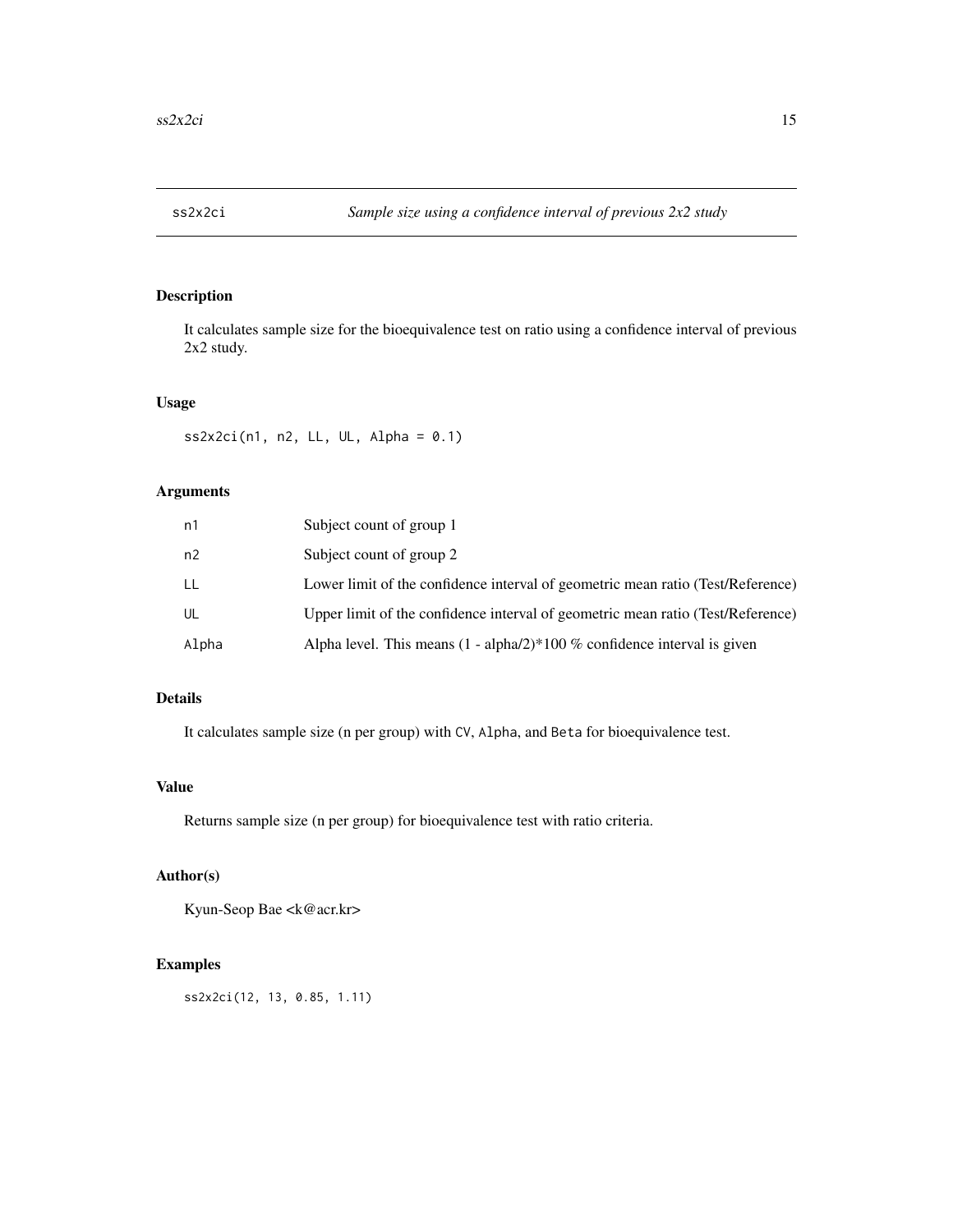<span id="page-14-0"></span>

It calculates sample size for the bioequivalence test on ratio using a confidence interval of previous 2x2 study.

#### Usage

 $ss2x2ci(n1, n2, LL, UL, Alpha = 0.1)$ 

# Arguments

| n1    | Subject count of group 1                                                        |
|-------|---------------------------------------------------------------------------------|
| n2    | Subject count of group 2                                                        |
| LL    | Lower limit of the confidence interval of geometric mean ratio (Test/Reference) |
| UL    | Upper limit of the confidence interval of geometric mean ratio (Test/Reference) |
| Alpha | Alpha level. This means $(1 - \alpha/2)$ 100 % confidence interval is given     |

# Details

It calculates sample size (n per group) with CV, Alpha, and Beta for bioequivalence test.

# Value

Returns sample size (n per group) for bioequivalence test with ratio criteria.

# Author(s)

Kyun-Seop Bae <k@acr.kr>

#### Examples

ss2x2ci(12, 13, 0.85, 1.11)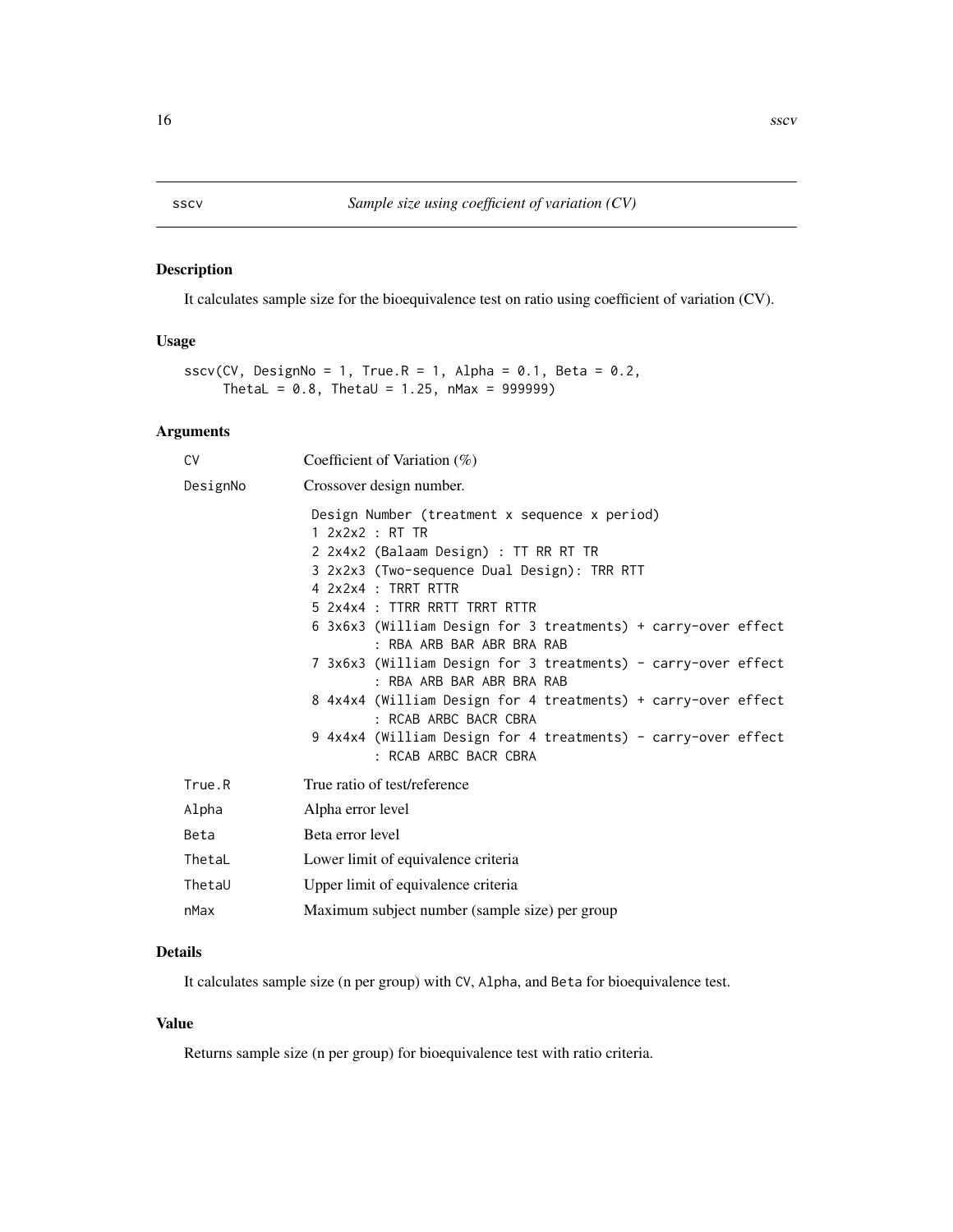<span id="page-15-0"></span>It calculates sample size for the bioequivalence test on ratio using coefficient of variation (CV).

# Usage

```
sscv(CV, DesignNo = 1, True.R = 1, Alpha = 0.1, Beta = 0.2,
     ThetaL = 0.8, ThetaU = 1.25, nMax = 999999)
```
# Arguments

| CV       | Coefficient of Variation $(\%)$                                                                                                                                                                                                                                                                                                                                                                                                                                                                                                                                                                  |
|----------|--------------------------------------------------------------------------------------------------------------------------------------------------------------------------------------------------------------------------------------------------------------------------------------------------------------------------------------------------------------------------------------------------------------------------------------------------------------------------------------------------------------------------------------------------------------------------------------------------|
| DesignNo | Crossover design number.                                                                                                                                                                                                                                                                                                                                                                                                                                                                                                                                                                         |
|          | Design Number (treatment x sequence x period)<br>1.2x2x2 : RT TR<br>2 2x4x2 (Balaam Design) : TT RR RT TR<br>3 2x2x3 (Two-sequence Dual Design): TRR RTT<br>4 2x2x4 : TRRT RTTR<br>5 2x4x4 : TTRR RRTT TRRT RTTR<br>6 3x6x3 (William Design for 3 treatments) + carry-over effect<br>: RBA ARB BAR ABR BRA RAB<br>7 3x6x3 (William Design for 3 treatments) - carry-over effect<br>: RBA ARB BAR ABR BRA RAB<br>8 4x4x4 (William Design for 4 treatments) + carry-over effect<br>: RCAB ARBC BACR CBRA<br>9 4x4x4 (William Design for 4 treatments) - carry-over effect<br>: RCAB ARBC BACR CBRA |
| True.R   | True ratio of test/reference                                                                                                                                                                                                                                                                                                                                                                                                                                                                                                                                                                     |
| Alpha    | Alpha error level                                                                                                                                                                                                                                                                                                                                                                                                                                                                                                                                                                                |
| Beta     | Beta error level                                                                                                                                                                                                                                                                                                                                                                                                                                                                                                                                                                                 |
| ThetaL   | Lower limit of equivalence criteria                                                                                                                                                                                                                                                                                                                                                                                                                                                                                                                                                              |
| ThetaU   | Upper limit of equivalence criteria                                                                                                                                                                                                                                                                                                                                                                                                                                                                                                                                                              |
| nMax     | Maximum subject number (sample size) per group                                                                                                                                                                                                                                                                                                                                                                                                                                                                                                                                                   |

# Details

It calculates sample size (n per group) with CV, Alpha, and Beta for bioequivalence test.

#### Value

Returns sample size (n per group) for bioequivalence test with ratio criteria.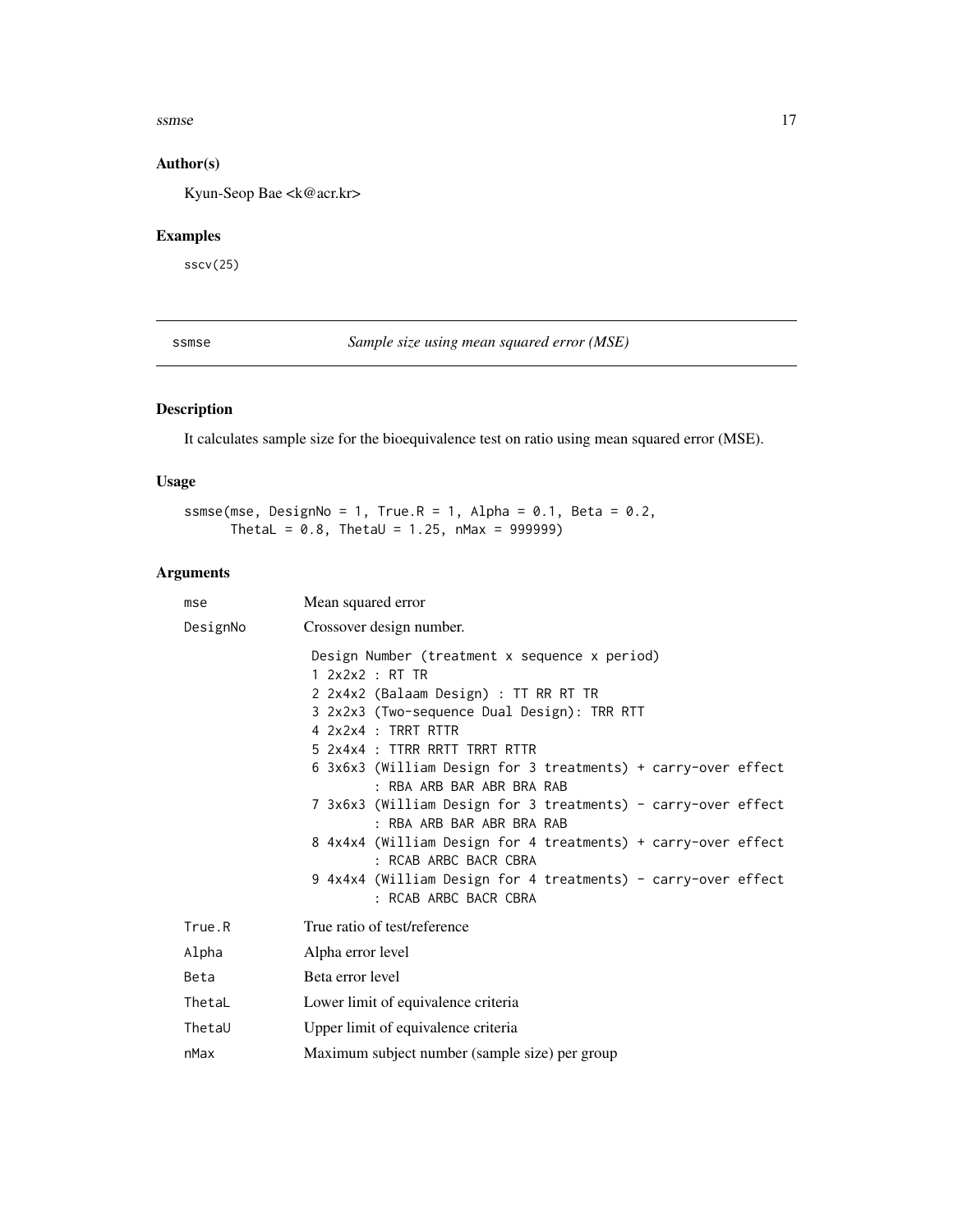#### <span id="page-16-0"></span> $s$ ssmse  $17$

# Author(s)

Kyun-Seop Bae <k@acr.kr>

# Examples

sscv(25)

ssmse *Sample size using mean squared error (MSE)*

# Description

It calculates sample size for the bioequivalence test on ratio using mean squared error (MSE).

#### Usage

ssmse(mse, DesignNo = 1, True.R = 1, Alpha =  $0.1$ , Beta =  $0.2$ , ThetaL =  $0.8$ , ThetaU = 1.25, nMax = 999999)

# Arguments

| mse      | Mean squared error                                                                                                                                                                                               |
|----------|------------------------------------------------------------------------------------------------------------------------------------------------------------------------------------------------------------------|
| DesignNo | Crossover design number.                                                                                                                                                                                         |
|          | Design Number (treatment x sequence x period)<br>1.2x2x2 : RT TR<br>2 2x4x2 (Balaam Design) : TT RR RT TR<br>3 2x2x3 (Two-sequence Dual Design): TRR RTT<br>4 2x2x4 : TRRT RTTR<br>5 2x4x4 : TTRR RRTT TRRT RTTR |
|          | 6 3x6x3 (William Design for 3 treatments) + carry-over effect<br>: RBA ARB BAR ABR BRA RAB                                                                                                                       |
|          | 7 3x6x3 (William Design for 3 treatments) - carry-over effect<br>: RBA ARB BAR ABR BRA RAB                                                                                                                       |
|          | 8 4x4x4 (William Design for 4 treatments) + carry-over effect<br>: RCAB ARBC BACR CBRA                                                                                                                           |
|          | 9 4x4x4 (William Design for 4 treatments) - carry-over effect<br>: RCAB ARBC BACR CBRA                                                                                                                           |
| True.R   | True ratio of test/reference                                                                                                                                                                                     |
| Alpha    | Alpha error level                                                                                                                                                                                                |
| Beta     | Beta error level                                                                                                                                                                                                 |
| ThetaL   | Lower limit of equivalence criteria                                                                                                                                                                              |
| ThetaU   | Upper limit of equivalence criteria                                                                                                                                                                              |
| nMax     | Maximum subject number (sample size) per group                                                                                                                                                                   |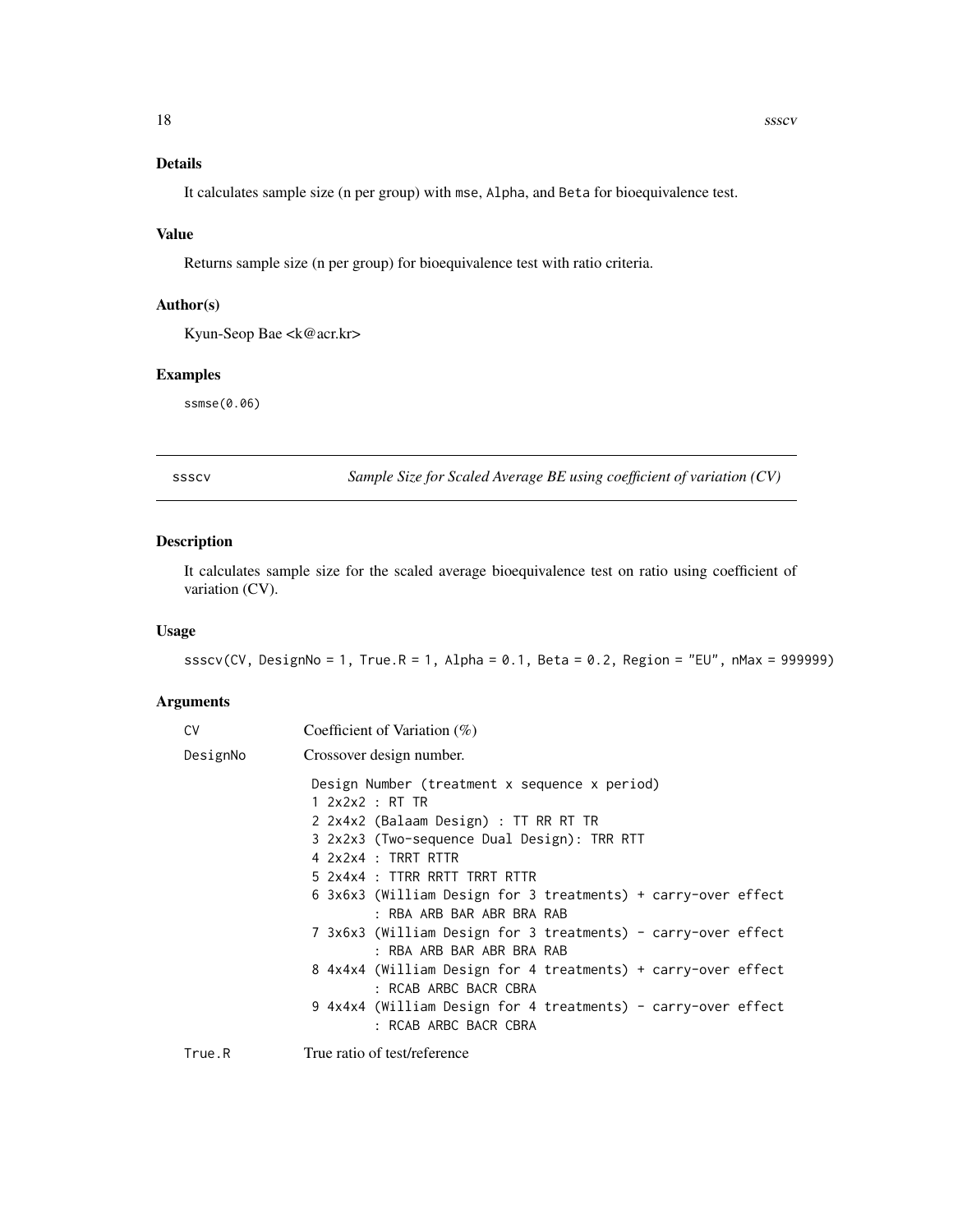# <span id="page-17-0"></span>Details

It calculates sample size (n per group) with mse, Alpha, and Beta for bioequivalence test.

#### Value

Returns sample size (n per group) for bioequivalence test with ratio criteria.

#### Author(s)

Kyun-Seop Bae <k@acr.kr>

# Examples

ssmse(0.06)

ssscv *Sample Size for Scaled Average BE using coefficient of variation (CV)*

# Description

It calculates sample size for the scaled average bioequivalence test on ratio using coefficient of variation (CV).

#### Usage

ssscv(CV, DesignNo = 1, True.R = 1, Alpha = 0.1, Beta = 0.2, Region = "EU", nMax = 999999)

#### Arguments

| C٧       | Coefficient of Variation $(\%)$                                                            |
|----------|--------------------------------------------------------------------------------------------|
| DesignNo | Crossover design number.                                                                   |
|          | Design Number (treatment x sequence x period)                                              |
|          | $1$ 2x2x2 : RT TR                                                                          |
|          | 2 2x4x2 (Balaam Design) : TT RR RT TR                                                      |
|          | 3 2x2x3 (Two-sequence Dual Design): TRR RTT                                                |
|          | 4 2x2x4 : TRRT RTTR                                                                        |
|          | 5 2x4x4 : TTRR RRTT TRRT RTTR                                                              |
|          | 6 3x6x3 (William Design for 3 treatments) + carry-over effect<br>: RBA ARB BAR ABR BRA RAB |
|          | 7 3x6x3 (William Design for 3 treatments) - carry-over effect<br>: RBA ARB BAR ABR BRA RAB |
|          | 8 4x4x4 (William Design for 4 treatments) + carry-over effect<br>: RCAB ARBC BACR CBRA     |
|          | 9 4x4x4 (William Design for 4 treatments) - carry-over effect<br>: RCAB ARBC BACR CBRA     |
|          |                                                                                            |

True.R True ratio of test/reference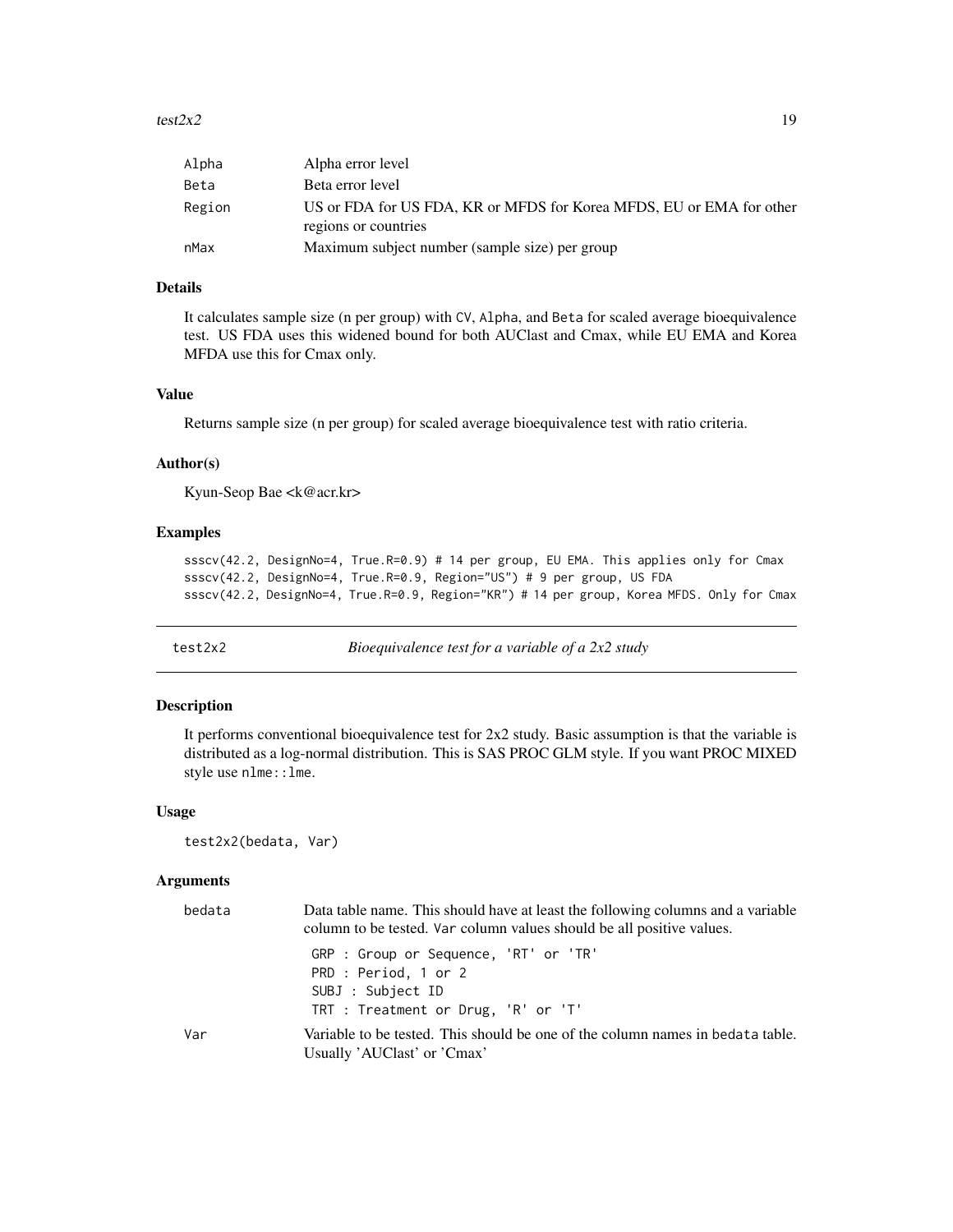#### <span id="page-18-0"></span>test $2x2$  19

| Alpha  | Alpha error level                                                                            |
|--------|----------------------------------------------------------------------------------------------|
| Beta   | Beta error level                                                                             |
| Region | US or FDA for US FDA, KR or MFDS for Korea MFDS, EU or EMA for other<br>regions or countries |
| nMax   | Maximum subject number (sample size) per group                                               |

#### Details

It calculates sample size (n per group) with CV, Alpha, and Beta for scaled average bioequivalence test. US FDA uses this widened bound for both AUClast and Cmax, while EU EMA and Korea MFDA use this for Cmax only.

#### Value

Returns sample size (n per group) for scaled average bioequivalence test with ratio criteria.

#### Author(s)

Kyun-Seop Bae <k@acr.kr>

#### Examples

ssscv(42.2, DesignNo=4, True.R=0.9) # 14 per group, EU EMA. This applies only for Cmax ssscv(42.2, DesignNo=4, True.R=0.9, Region="US") # 9 per group, US FDA ssscv(42.2, DesignNo=4, True.R=0.9, Region="KR") # 14 per group, Korea MFDS. Only for Cmax

<span id="page-18-1"></span>

test2x2 *Bioequivalence test for a variable of a 2x2 study*

#### Description

It performs conventional bioequivalence test for 2x2 study. Basic assumption is that the variable is distributed as a log-normal distribution. This is SAS PROC GLM style. If you want PROC MIXED style use nlme::lme.

#### Usage

```
test2x2(bedata, Var)
```
#### Arguments

| bedata | Data table name. This should have at least the following columns and a variable<br>column to be tested. Var column values should be all positive values. |
|--------|----------------------------------------------------------------------------------------------------------------------------------------------------------|
|        | GRP : Group or Sequence, 'RT' or 'TR'<br>PRD : Period, 1 or 2<br>SUBJ : Subject ID<br>TRT : Treatment or Drug, 'R' or 'T'                                |
| Var    | Variable to be tested. This should be one of the column names in bedata table.<br>Usually 'AUClast' or 'Cmax'                                            |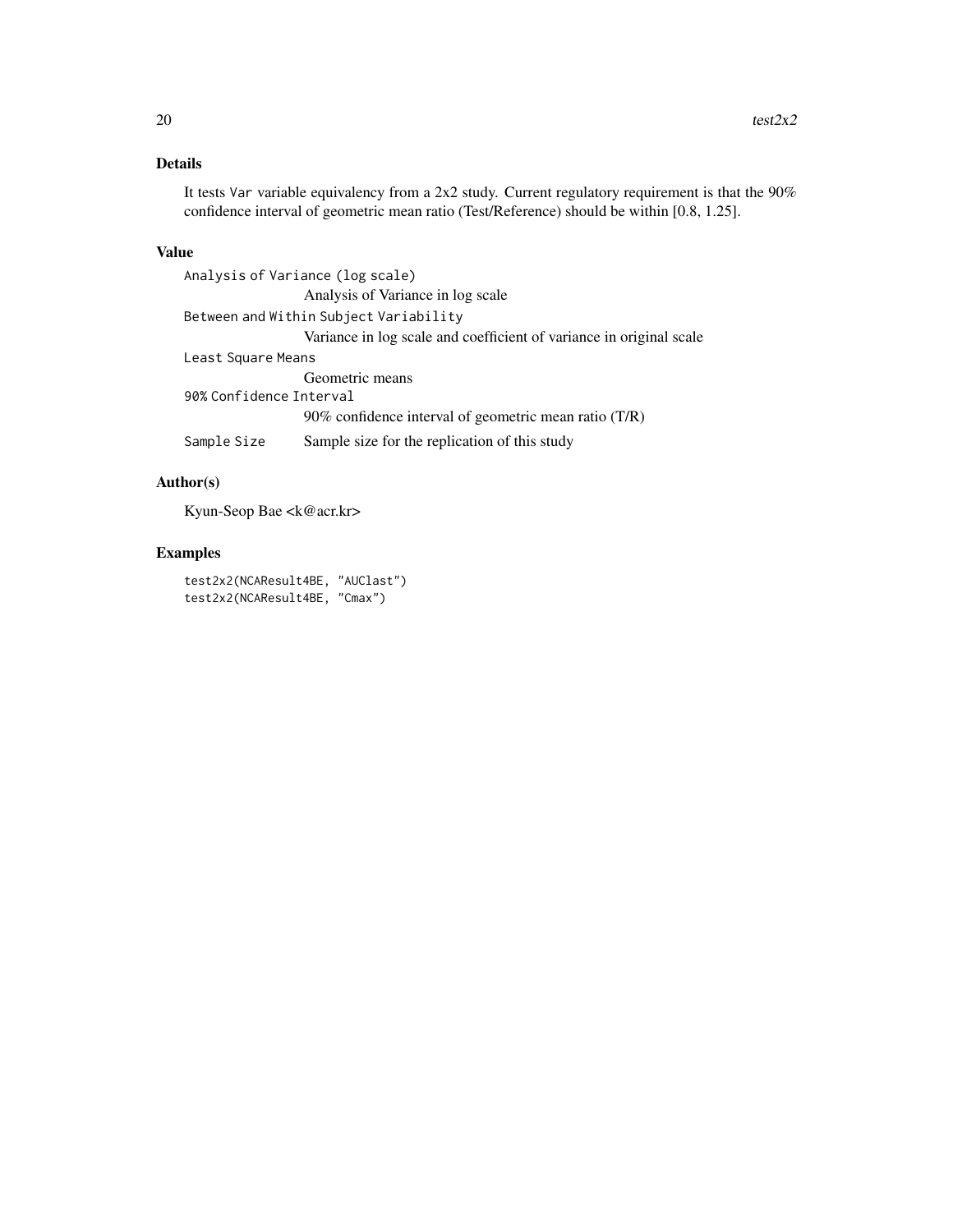# Details

It tests Var variable equivalency from a 2x2 study. Current regulatory requirement is that the 90% confidence interval of geometric mean ratio (Test/Reference) should be within [0.8, 1.25].

#### Value

Analysis of Variance (log scale) Analysis of Variance in log scale Between and Within Subject Variability Variance in log scale and coefficient of variance in original scale Least Square Means Geometric means 90% Confidence Interval 90% confidence interval of geometric mean ratio (T/R) Sample Size Sample size for the replication of this study

# Author(s)

Kyun-Seop Bae <k@acr.kr>

#### Examples

```
test2x2(NCAResult4BE, "AUClast")
test2x2(NCAResult4BE, "Cmax")
```